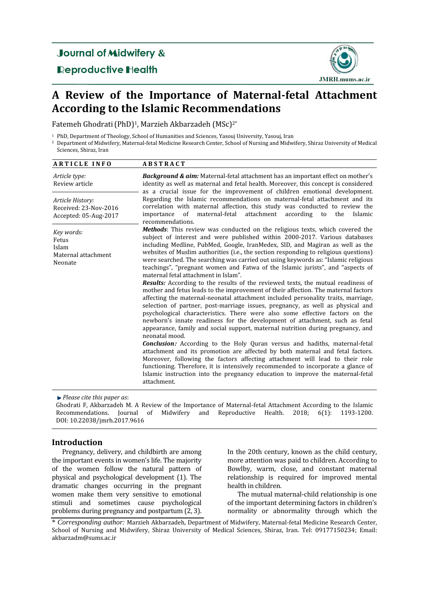# **Journal of Midwifery &**

**Reproductive Health** 



# **A Review of the Importance of Maternal-fetal Attachment According to the Islamic Recommendations**

Fatemeh Ghodrati (PhD)<sup>1</sup>, Marzieh Akbarzadeh (MSc)<sup>2\*</sup>

<sup>1</sup> PhD, Department of Theology, School of Humanities and Sciences, Yasouj University, Yasouj, Iran

<sup>2</sup> Department of Midwifery, Maternal-fetal Medicine Research Center, School of Nursing and Midwifery, Shiraz University of Medical Sciences, Shiraz, Iran

| <b>ARTICLE INFO</b>                                                | <b>ABSTRACT</b>                                                                                                                                                                                                                                                                                                                                                                                                                                                                                                                                                                                                                                                                                                                                                                                                                                                                                                                                                                                                                                                                                                                                                                                                                                                                                                                                                                                                                                                                                                                                                                                                                                                                                                                                                                                                                                                                                      |
|--------------------------------------------------------------------|------------------------------------------------------------------------------------------------------------------------------------------------------------------------------------------------------------------------------------------------------------------------------------------------------------------------------------------------------------------------------------------------------------------------------------------------------------------------------------------------------------------------------------------------------------------------------------------------------------------------------------------------------------------------------------------------------------------------------------------------------------------------------------------------------------------------------------------------------------------------------------------------------------------------------------------------------------------------------------------------------------------------------------------------------------------------------------------------------------------------------------------------------------------------------------------------------------------------------------------------------------------------------------------------------------------------------------------------------------------------------------------------------------------------------------------------------------------------------------------------------------------------------------------------------------------------------------------------------------------------------------------------------------------------------------------------------------------------------------------------------------------------------------------------------------------------------------------------------------------------------------------------------|
| Article type:<br>Review article                                    | Background & aim: Maternal-fetal attachment has an important effect on mother's<br>identity as well as maternal and fetal health. Moreover, this concept is considered<br>as a crucial issue for the improvement of children emotional development.                                                                                                                                                                                                                                                                                                                                                                                                                                                                                                                                                                                                                                                                                                                                                                                                                                                                                                                                                                                                                                                                                                                                                                                                                                                                                                                                                                                                                                                                                                                                                                                                                                                  |
| Article History:<br>Received: 23-Nov-2016<br>Accepted: 05-Aug-2017 | Regarding the Islamic recommendations on maternal-fetal attachment and its<br>correlation with maternal affection, this study was conducted to review the<br>maternal-fetal<br>attachment<br>according<br>of<br>to<br>the<br>Islamic<br>importance<br>recommendations.<br>Methods: This review was conducted on the religious texts, which covered the<br>subject of interest and were published within 2000-2017. Various databases<br>including Medline, PubMed, Google, IranMedex, SID, and Magiran as well as the<br>websites of Muslim authorities (i.e., the section responding to religious questions)<br>were searched. The searching was carried out using keywords as: "Islamic religious<br>teachings", "pregnant women and Fatwa of the Islamic jurists", and "aspects of<br>maternal fetal attachment in Islam".<br><b>Results:</b> According to the results of the reviewed texts, the mutual readiness of<br>mother and fetus leads to the improvement of their affection. The maternal factors<br>affecting the maternal-neonatal attachment included personality traits, marriage,<br>selection of partner, post-marriage issues, pregnancy, as well as physical and<br>psychological characteristics. There were also some effective factors on the<br>newborn's innate readiness for the development of attachment, such as fetal<br>appearance, family and social support, maternal nutrition during pregnancy, and<br>neonatal mood.<br><b>Conclusion:</b> According to the Holy Quran versus and hadiths, maternal-fetal<br>attachment and its promotion are affected by both maternal and fetal factors.<br>Moreover, following the factors affecting attachment will lead to their role<br>functioning. Therefore, it is intensively recommended to incorporate a glance of<br>Islamic instruction into the pregnancy education to improve the maternal-fetal<br>attachment. |
| Key words:<br>Fetus<br>Islam<br>Maternal attachment<br>Neonate     |                                                                                                                                                                                                                                                                                                                                                                                                                                                                                                                                                                                                                                                                                                                                                                                                                                                                                                                                                                                                                                                                                                                                                                                                                                                                                                                                                                                                                                                                                                                                                                                                                                                                                                                                                                                                                                                                                                      |

*Please cite this paper as*:

Ghodrati F, Akbarzadeh M. A Review of the Importance of Maternal-fetal Attachment According to the Islamic Recommendations. Journal of Midwifery and Reproductive Health. 2018; 6(1): 1193-1200. DOI: 10.22038/jmrh.2017.9616

## **Introduction**

Pregnancy, delivery, and childbirth are among the important events in women's life. The majority of the women follow the natural pattern of physical and psychological development (1). The dramatic changes occurring in the pregnant women make them very sensitive to emotional stimuli and sometimes cause psychological problems during pregnancy and postpartum (2, 3).

In the 20th century, known as the child century, more attention was paid to children. According to Bowlby, warm, close, and constant maternal relationship is required for improved mental health in children.

The mutual maternal-child relationship is one of the important determining factors in children's normality or abnormality through which the

<sup>\*</sup> *Corresponding author:* Marzieh Akbarzadeh, Department of Midwifery, Maternal-fetal Medicine Research Center, School of Nursing and Midwifery, Shiraz University of Medical Sciences, Shiraz, Iran. Tel: 09177150234; Email: akbarzadm@sums.ac.ir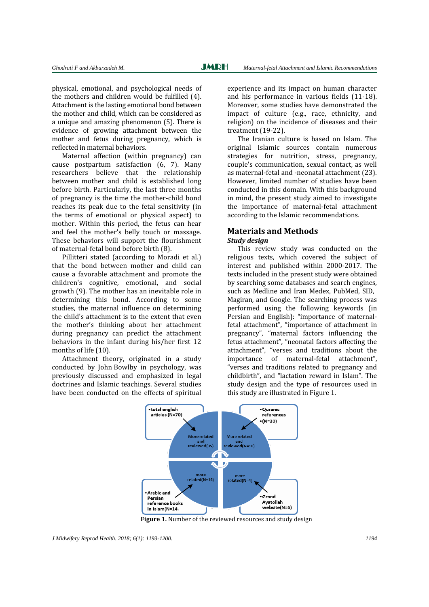physical, emotional, and psychological needs of the mothers and children would be fulfilled (4). Attachment is the lasting emotional bond between the mother and child, which can be considered as a unique and amazing phenomenon (5). There is evidence of growing attachment between the mother and fetus during pregnancy, which is reflected in maternal behaviors.

Maternal affection (within pregnancy) can cause postpartum satisfaction (6, 7). Many researchers believe that the relationship between mother and child is established long before birth. Particularly, the last three months of pregnancy is the time the mother-child bond reaches its peak due to the fetal sensitivity (in the terms of emotional or physical aspect) to mother. Within this period, the fetus can hear and feel the mother's belly touch or massage. These behaviors will support the flourishment of maternal-fetal bond before birth (8).

Pillitteri stated (according to Moradi et al.) that the bond between mother and child can cause a favorable attachment and promote the children's cognitive, emotional, and social growth (9). The mother has an inevitable role in determining this bond. According to some studies, the maternal influence on determining the child's attachment is to the extent that even the mother's thinking about her attachment during pregnancy can predict the attachment behaviors in the infant during his/her first 12 months of life (10).

Attachment theory, originated in a study conducted by John Bowlby in psychology, was previously discussed and emphasized in legal doctrines and Islamic teachings. Several studies have been conducted on the effects of spiritual

experience and its impact on human character and his performance in various fields (11-18). Moreover, some studies have demonstrated the impact of culture (e.g., race, ethnicity, and religion) on the incidence of diseases and their treatment (19-22).

The Iranian culture is based on Islam. The original Islamic sources contain numerous strategies for nutrition, stress, pregnancy, couple's communication, sexual contact, as well as maternal-fetal and -neonatal attachment (23). However, limited number of studies have been conducted in this domain. With this background in mind, the present study aimed to investigate the importance of maternal-fetal attachment according to the Islamic recommendations.

## **Materials and Methods**

## *Study design*

This review study was conducted on the religious texts, which covered the subject of interest and published within 2000-2017. The texts included in the present study were obtained by searching some databases and search engines, such as Medline and Iran Medex, PubMed, SID, Magiran, and Google. The searching process was performed using the following keywords (in Persian and English): "importance of maternalfetal attachment", "importance of attachment in pregnancy", "maternal factors influencing the fetus attachment", "neonatal factors affecting the attachment", "verses and traditions about the importance of maternal-fetal attachment", "verses and traditions related to pregnancy and childbirth", and "lactation reward in Islam". The study design and the type of resources used in this study are illustrated in Figure 1.



 **Figure 1.** Number of the reviewed resources and study design

*J Midwifery Reprod Health. 2018; 6(1): 1193-1200. 1194*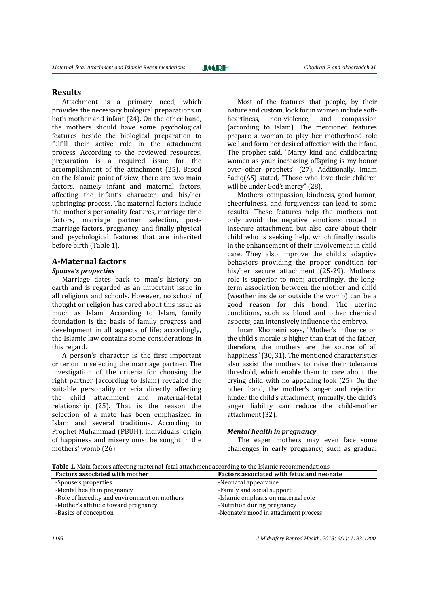## **Results**

Attachment is a primary need, which provides the necessary biological preparations in both mother and infant (24). On the other hand, the mothers should have some psychological features beside the biological preparation to fulfill their active role in the attachment process. According to the reviewed resources, preparation is a required issue for the accomplishment of the attachment (25). Based on the Islamic point of view, there are two main factors, namely infant and maternal factors, affecting the infant's character and his/her upbringing process. The maternal factors include the mother's personality features, marriage time factors, marriage partner selection, postmarriage factors, pregnancy, and finally physical and psychological features that are inherited before birth (Table 1).

## **A-Maternal factors**

## *Spouse's properties*

Marriage dates back to man's history on earth and is regarded as an important issue in all religions and schools. However, no school of thought or religion has cared about this issue as much as Islam. According to Islam, family foundation is the basis of family progress and development in all aspects of life; accordingly, the Islamic law contains some considerations in this regard.

A person's character is the first important criterion in selecting the marriage partner. The investigation of the criteria for choosing the right partner (according to Islam) revealed the suitable personality criteria directly affecting the child attachment and maternal-fetal relationship (25). That is the reason the selection of a mate has been emphasized in Islam and several traditions. According to Prophet Muhammad (PBUH), individuals' origin of happiness and misery must be sought in the mothers' womb (26).

Most of the features that people, by their nature and custom, look for in women include softheartiness, non-violence, and compassion (according to Islam). The mentioned features prepare a woman to play her motherhood role well and form her desired affection with the infant. The prophet said, "Marry kind and childbearing women as your increasing offspring is my honor over other prophets" (27). Additionally, Imam Sadiq(AS) stated, "Those who love their children will be under God's mercy" (28).

Mothers' compassion, kindness, good humor, cheerfulness, and forgiveness can lead to some results. These features help the mothers not only avoid the negative emotions rooted in insecure attachment, but also care about their child who is seeking help, which finally results in the enhancement of their involvement in child care. They also improve the child's adaptive behaviors providing the proper condition for his/her secure attachment (25-29). Mothers' role is superior to men; accordingly, the longterm association between the mother and child (weather inside or outside the womb) can be a good reason for this bond. The uterine conditions, such as blood and other chemical aspects, can intensively influence the embryo.

Imam Khomeini says, "Mother's influence on the child's morale is higher than that of the father; therefore, the mothers are the source of all happiness" (30, 31). The mentioned characteristics also assist the mothers to raise their tolerance threshold, which enable them to care about the crying child with no appealing look (25). On the other hand, the mother's anger and rejection hinder the child's attachment; mutually, the child's anger liability can reduce the child-mother attachment (32).

#### *Mental health in pregnancy*

The eager mothers may even face some challenges in early pregnancy, such as gradual

**Table 1.** Main factors affecting maternal-fetal attachment according to the Islamic recommendations

| <b>Factors associated with mother</b>        | Factors associated with fetus and neonate |
|----------------------------------------------|-------------------------------------------|
| -Spouse's properties                         | -Neonatal appearance                      |
| -Mental health in pregnancy                  | -Family and social support                |
| -Role of heredity and environment on mothers | -Islamic emphasis on maternal role        |
| -Mother's attitude toward pregnancy          | -Nutrition during pregnancy               |
| -Basics of conception                        | -Neonate's mood in attachment process     |

*1195 J Midwifery Reprod Health. 2018; 6(1): 1193-1200.*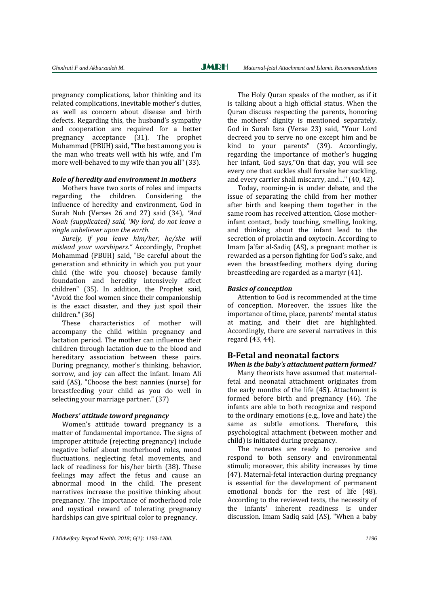pregnancy complications, labor thinking and its related complications, inevitable mother's duties, as well as concern about disease and birth defects. Regarding this, the husband's sympathy and cooperation are required for a better pregnancy acceptance (31). The prophet Muhammad (PBUH) said, "The best among you is the man who treats well with his wife, and I'm more well-behaved to my wife than you all" (33).

#### *Role of heredity and environment in mothers*

Mothers have two sorts of roles and impacts regarding the children. Considering the influence of heredity and environment, God in Surah Nuh (Verses 26 and 27) said (34), "*And Noah (supplicated) said, 'My lord, do not leave a single unbeliever upon the earth.* 

*Surely, if you leave him/her, he/she will mislead your worshipers."* Accordingly, Prophet Mohammad (PBUH) said, "Be careful about the generation and ethnicity in which you put your child (the wife you choose) because family foundation and heredity intensively affect children" (35). In addition, the Prophet said, "Avoid the fool women since their companionship is the exact disaster, and they just spoil their children." (36)

These characteristics of mother will accompany the child within pregnancy and lactation period. The mother can influence their children through lactation due to the blood and hereditary association between these pairs. During pregnancy, mother's thinking, behavior, sorrow, and joy can affect the infant. Imam Ali said (AS), "Choose the best nannies (nurse) for breastfeeding your child as you do well in selecting your marriage partner." (37)

#### *Mothers' attitude toward pregnancy*

Women's attitude toward pregnancy is a matter of fundamental importance. The signs of improper attitude (rejecting pregnancy) include negative belief about motherhood roles, mood fluctuations, neglecting fetal movements, and lack of readiness for his/her birth (38). These feelings may affect the fetus and cause an abnormal mood in the child. The present narratives increase the positive thinking about pregnancy. The importance of motherhood role and mystical reward of tolerating pregnancy hardships can give spiritual color to pregnancy.

The Holy Quran speaks of the mother, as if it is talking about a high official status. When the Quran discuss respecting the parents, honoring the mothers' dignity is mentioned separately. God in Surah Isra (Verse 23) said, "Your Lord decreed you to serve no one except him and be kind to your parents" (39). Accordingly, regarding the importance of mother's hugging her infant, God says,"On that day, you will see every one that suckles shall forsake her suckling, and every carrier shall miscarry, and…" (40, 42).

Today, rooming-in is under debate, and the issue of separating the child from her mother after birth and keeping them together in the same room has received attention. Close motherinfant contact, body touching, smelling, looking, and thinking about the infant lead to the secretion of prolactin and oxytocin. According to Imam Ja'far al-Sadiq (AS), a pregnant mother is rewarded as a person fighting for God's sake, and even the breastfeeding mothers dying during breastfeeding are regarded as a martyr (41).

#### *Basics of conception*

Attention to God is recommended at the time of conception. Moreover, the issues like the importance of time, place, parents' mental status at mating, and their diet are highlighted. Accordingly, there are several narratives in this regard (43, 44).

## **B-Fetal and neonatal factors**

#### *When is the baby's attachment pattern formed?*

Many theorists have assumed that maternalfetal and neonatal attachment originates from the early months of the life (45). Attachment is formed before birth and pregnancy (46). The infants are able to both recognize and respond to the ordinary emotions (e.g., love and hate) the same as subtle emotions. Therefore, this psychological attachment (between mother and child) is initiated during pregnancy.

The neonates are ready to perceive and respond to both sensory and environmental stimuli; moreover, this ability increases by time (47). Maternal-fetal interaction during pregnancy is essential for the development of permanent emotional bonds for the rest of life (48). According to the reviewed texts, the necessity of the infants' inherent readiness is under discussion. Imam Sadiq said (AS), "When a baby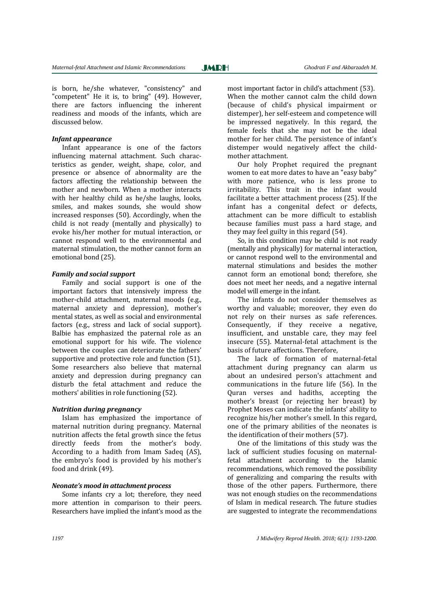**JMRH** 

is born, he/she whatever, "consistency" and "competent" He it is, to bring" (49). However, there are factors influencing the inherent readiness and moods of the infants, which are discussed below.

### *Infant appearance*

Infant appearance is one of the factors influencing maternal attachment. Such characteristics as gender, weight, shape, color, and presence or absence of abnormality are the factors affecting the relationship between the mother and newborn. When a mother interacts with her healthy child as he/she laughs, looks, smiles, and makes sounds, she would show increased responses (50). Accordingly, when the child is not ready (mentally and physically) to evoke his/her mother for mutual interaction, or cannot respond well to the environmental and maternal stimulation, the mother cannot form an emotional bond (25).

#### *Family and social support*

Family and social support is one of the important factors that intensively impress the mother-child attachment, maternal moods (e.g., maternal anxiety and depression), mother's mental states, as well as social and environmental factors (e.g., stress and lack of social support). Balbie has emphasized the paternal role as an emotional support for his wife. The violence between the couples can deteriorate the fathers' supportive and protective role and function (51). Some researchers also believe that maternal anxiety and depression during pregnancy can disturb the fetal attachment and reduce the mothers' abilities in role functioning (52).

#### *Nutrition during pregnancy*

Islam has emphasized the importance of maternal nutrition during pregnancy. Maternal nutrition affects the fetal growth since the fetus directly feeds from the mother's body. According to a hadith from Imam Sadeq (AS), the embryo's food is provided by his mother's food and drink (49).

## *Neonate's mood in attachment process*

Some infants cry a lot; therefore, they need more attention in comparison to their peers. Researchers have implied the infant's mood as the most important factor in child's attachment (53). When the mother cannot calm the child down (because of child's physical impairment or distemper), her self-esteem and competence will be impressed negatively. In this regard, the female feels that she may not be the ideal mother for her child. The persistence of infant's distemper would negatively affect the childmother attachment.

Our holy Prophet required the pregnant women to eat more dates to have an "easy baby" with more patience, who is less prone to irritability. This trait in the infant would facilitate a better attachment process (25). If the infant has a congenital defect or defects, attachment can be more difficult to establish because families must pass a hard stage, and they may feel guilty in this regard (54).

So, in this condition may be child is not ready (mentally and physically) for maternal interaction, or cannot respond well to the environmental and maternal stimulations and besides the mother cannot form an emotional bond; therefore, she does not meet her needs, and a negative internal model will emerge in the infant.

The infants do not consider themselves as worthy and valuable; moreover, they even do not rely on their nurses as safe references. Consequently, if they receive a negative, insufficient, and unstable care, they may feel insecure (55). Maternal-fetal attachment is the basis of future affections. Therefore,

The lack of formation of maternal-fetal attachment during pregnancy can alarm us about an undesired person's attachment and communications in the future life (56). In the Quran verses and hadiths, accepting the mother's breast (or rejecting her breast) by Prophet Moses can indicate the infants' ability to recognize his/her mother's smell. In this regard, one of the primary abilities of the neonates is the identification of their mothers (57).

One of the limitations of this study was the lack of sufficient studies focusing on maternalfetal attachment according to the Islamic recommendations, which removed the possibility of generalizing and comparing the results with those of the other papers. Furthermore, there was not enough studies on the recommendations of Islam in medical research. The future studies are suggested to integrate the recommendations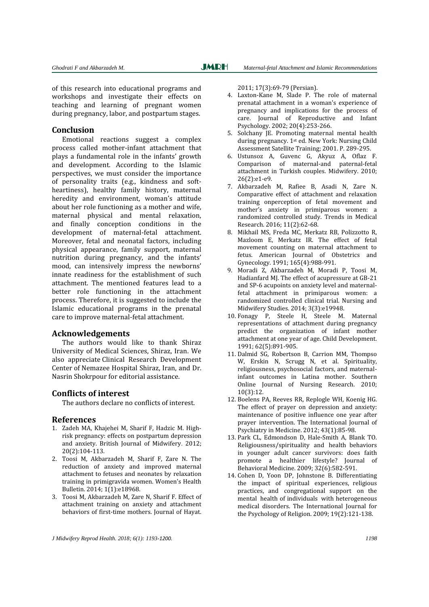**JMRH** 

of this research into educational programs and workshops and investigate their effects on teaching and learning of pregnant women during pregnancy, labor, and postpartum stages.

## **Conclusion**

Emotional reactions suggest a complex process called mother-infant attachment that plays a fundamental role in the infants' growth and development. According to the Islamic perspectives, we must consider the importance of personality traits (e.g., kindness and softheartiness), healthy family history, maternal heredity and environment, woman's attitude about her role functioning as a mother and wife, maternal physical and mental relaxation, and finally conception conditions in the development of maternal-fetal attachment. Moreover, fetal and neonatal factors, including physical appearance, family support, maternal nutrition during pregnancy, and the infants' mood, can intensively impress the newborns' innate readiness for the establishment of such attachment. The mentioned features lead to a better role functioning in the attachment process. Therefore, it is suggested to include the Islamic educational programs in the prenatal care to improve maternal-fetal attachment.

### **Acknowledgements**

The authors would like to thank Shiraz University of Medical Sciences, Shiraz, Iran. We also appreciate Clinical Research Development Center of Nemazee Hospital Shiraz, Iran, and Dr. Nasrin Shokrpour for editorial assistance.

## **Conflicts of interest**

The authors declare no conflicts of interest.

### **References**

- 1. Zadeh MA, Khajehei M, Sharif F, Hadzic M. Highrisk pregnancy: effects on postpartum depression and anxiety. British Journal of Midwifery. 2012; 20(2):104-113.
- 2. Toosi M, Akbarzadeh M, Sharif F, Zare N. The reduction of anxiety and improved maternal attachment to fetuses and neonates by relaxation training in primigravida women. Women's Health Bulletin. 2014; 1(1):e18968.
- 3. Toosi M, Akbarzadeh M, Zare N, Sharif F. Effect of attachment training on anxiety and attachment behaviors of first-time mothers. Journal of Hayat.

2011; 17(3):69-79 (Persian).

- 4. Laxton-Kane M, Slade P. The role of maternal prenatal attachment in a woman's experience of pregnancy and implications for the process of care. Journal of Reproductive and Infant Psychology. 2002; 20(4):253-266.
- 5. Solchany JE. Promoting maternal mental health during pregnancy. 1st ed. New York: Nursing Child Assessment Satellite Training; 2001. P. 289-295.
- 6. [Ustunsoz A,](http://www.ncbi.nlm.nih.gov/pubmed?term=%22Ustunsoz%20A%22%5BAuthor%5D) [Guvenc G,](http://www.ncbi.nlm.nih.gov/pubmed?term=%22Guvenc%20G%22%5BAuthor%5D) [Akyuz A,](http://www.ncbi.nlm.nih.gov/pubmed?term=%22Akyuz%20A%22%5BAuthor%5D) [Oflaz F.](http://www.ncbi.nlm.nih.gov/pubmed?term=%22Oflaz%20F%22%5BAuthor%5D)  Comparison of maternal-and paternal-fetal attachment in Turkish couples. [Midwifery.](http://www.ncbi.nlm.nih.gov/pubmed?term=Comparison%20of%20maternal%20and%20paternal-fetal%20attachment%20in%20Turkish%20couples##) 2010; 26(2):e1-e9.
- 7. Akbarzadeh M, Rafiee B, Asadi N, Zare N. Comparative effect of attachment and relaxation training onperception of fetal movement and mother's anxiety in primiparous women: a randomized controlled study. Trends in Medical Research. 2016; 11(2):62-68.
- 8. Mikhail MS, Freda MC, Merkatz RB, Polizzotto R, Mazloom E, Merkatz IR. The effect of fetal movement counting on maternal attachment to fetus. American Journal of Obstetrics and Gynecology. 1991; 165(4):988-991.
- 9. Moradi Z, Akbarzadeh M, Moradi P, Toosi M, Hadianfard MJ. The effect of acupressure at GB-21 and SP-6 acupoints on anxiety level and maternalfetal attachment in primiparous women: a randomized controlled clinical trial. Nursing and Midwifery Studies. 2014; 3(3):e19948.
- 10. Fonagy P, Steele H, Steele M. Maternal representations of attachment during pregnancy predict the organization of infant mother attachment at one year of age. Child Development. 1991; 62(5):891-905.
- 11. Dalmid SG, Robertson B, Carrion MM, Thompso W, Erskin N, Scrugg N, et al. Spirituality, religiousness, psychosocial factors, and maternalinfant outcomes in Latina mother. Southern Online Journal of Nursing Research. 2010; 10(3):12.
- 12. Boelens PA, Reeves RR, Replogle WH, Koenig HG. The effect of prayer on depression and anxiety: maintenance of positive influence one year after prayer intervention. The International Journal of Psychiatry in Medicine. 2012; 43(1):85-98.
- 13. Park CL, Edmondson D, Hale-Smith A, Blank TO. Religiousness/spirituality and health behaviors in younger adult cancer survivors: does faith promote a healthier lifestyle? Journal of Behavioral Medicine. 2009; 32(6):582-591.
- 14. Cohen D, Yoon DP, Johnstone B. Differentiating the impact of spiritual experiences, religious practices, and congregational support on the mental health of individuals with heterogeneous medical disorders. The International Journal for the Psychology of Religion. 2009; 19(2):121-138.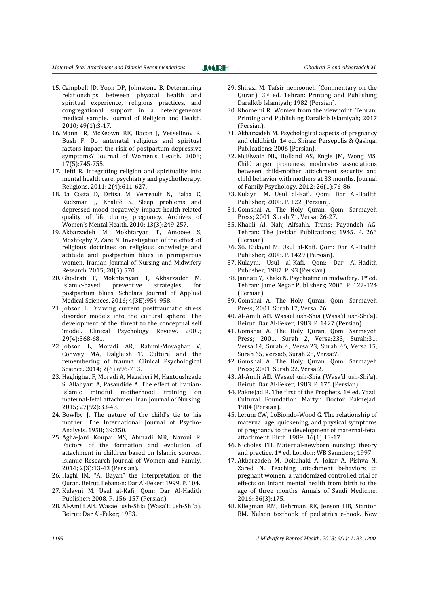- 15. Campbell JD, Yoon DP, Johnstone B. Determining relationships between physical health and spiritual experience, religious practices, and congregational support in a heterogeneous medical sample. Journal of Religion and Health. 2010; 49(1):3-17.
- 16. Mann JR, McKeown RE, Bacon J, Vesselinov R, Bush F. Do antenatal religious and spiritual factors impact the risk of postpartum depressive symptoms? Journal of Women's Health. 2008; 17(5):745-755.
- 17. Hefti R. Integrating religion and spirituality into mental health care, psychiatry and psychotherapy. Religions. 2011; 2(4):611-627.
- 18. Da Costa D, Dritsa M, Verreault N, Balaa C, Kudzman J, Khalifé S. Sleep problems and depressed mood negatively impact health-related quality of life during pregnancy. Archives of Women's Mental Health. 2010; 13(3):249-257.
- 19. Akbarzadeh M, Mokhtaryan T, Amooee S, Moshfeghy Z, Zare N. Investigation of the effect of religious doctrines on religious knowledge and attitude and postpartum blues in primiparous women. Iranian Journal of Nursing and Midwifery Research. 2015; 20(5):570.
- 20. Ghodrati F, Mokhtariyan T, Akbarzadeh M. Islamic-based preventive strategies for postpartum blues. Scholars Journal of Applied Medical Sciences. 2016; 4(3E):954-958.
- 21. Jobson L. Drawing current posttraumatic stress disorder models into the cultural sphere: The development of the 'threat to the conceptual self 'model. Clinical Psychology Review. 2009; 29(4):368-681.
- 22. Jobson L, Moradi AR, Rahimi-Movaghar V, Conway MA, Dalgleish T. Culture and the remembering of trauma. Clinical Psychological Science. 2014; 2(6):696-713.
- 23. Haghighat F, Moradi A, Mazaheri M, Hantoushzade S, Allahyari A, Pasandide A. The effect of Iranian-Islamic mindful motherhood training on maternal-fetal attachmen. Iran Journal of Nursing. 2015; 27(92):33-43.
- 24. Bowlby J. The nature of the child's tie to his mother. The International Journal of Psycho-Analysis. 1958; 39:350.
- 25. Agha-Jani Koupai MS, Ahmadi MR, Naroui R. Factors of the formation and evolution of attachment in children based on Islamic sources. Islamic Research Journal of Women and Family. 2014; 2(3):13-43 (Persian).
- 26. Haghi IM. "Al Bayan" the interpretation of the Quran. Beirut, Lebanon: Dar Al-Feker; 1999. P. 104.
- 27. Kulayni M. Usul al-Kafi. Qom: Dar Al-Hadith Publisher; 2008. P. 156-157 (Persian).
- 28. Al-Amili AḤ. [Wasael ush-Shia](https://en.wikipedia.org/wiki/Wasael_ush-Shia) (Wasa'il ush-Shi'a). Beirut: Dar Al-Feker; 1983.

29. Shirazi M. [Tafsir nemooneh](http://makarem.ir/biography/?lid=1) (Commentary on the Quran). 3rd ed. Tehran: Printing and Publishing Daralktb Islamiyah; 1982 (Persian).

**JMRH** 

- 30. Khomeini R. Women from the viewpoint. Tehran: Printing and Publishing Daralktb Islamiyah; 2017 (Persian).
- 31. Akbarzadeh M. Psychological aspects of pregnancy and childbirth. 1st ed. Shiraz: Persepolis & Qashqai Publications; 2006 (Persian).
- 32. McElwain NL, Holland AS, Engle JM, Wong MS. Child anger proneness moderates associations between child-mother attachment security and child behavior with mothers at 33 months. Journal of Family Psychology. 2012; 26(1):76-86.
- 33. Kulayni M. Usul al-Kafi. Qom: Dar Al-Hadith Publisher; 2008. P. 122 (Persian).
- 34. Gomshai A. The Holy Quran. Qom: Sarmayeh Press; 2001. Surah 71, Versa: 26-27.
- 35. Khalili AJ, Nahj Alfsahh. Trans: Payandeh AG. Tehran: The Javidan Publications; 1945. P. 266 (Persian).
- 36. 36. Kulayni M. Usul al-Kafi. Qom: Dar Al-Hadith Publisher; 2008. P. 1429 (Persian).
- 37. Kulayni. Usul al-Kafi. Qom: Dar Al-Hadith Publisher; 1987. P. 93 (Persian).
- 38. Jannati Y, Khaki N. Psychiatric in midwifery. 1st ed. Tehran: Jame Negar Publishers; 2005. P. 122-124 (Persian).
- 39. Gomshai A. The Holy Quran. Qom: Sarmayeh Press; 2001. Surah 17, Versa: 26.
- 40. Al-Amili AḤ. [Wasael ush-Shia](https://en.wikipedia.org/wiki/Wasael_ush-Shia) (Wasa'il ush-Shi'a). Beirut: Dar Al-Feker; 1983. P. 1427 (Persian).
- 41. Gomshai A. The Holy Quran. Qom: Sarmayeh Press; 2001. Surah 2, Versa:233, Surah:31, Versa:14, Surah 4, Versa:23, Surah 46, Versa:15, Surah 65, Versa:6, Surah 28, Versa:7.
- 42. Gomshai A. The Holy Quran. Qom: Sarmayeh Press; 2001. Surah 22, Versa:2.
- 43. Al-Amili AḤ. [Wasael ush-Shia](https://en.wikipedia.org/wiki/Wasael_ush-Shia) (Wasa'il ush-Shi'a). Beirut: Dar Al-Feker; 1983. P. 175 (Persian).
- 44. Paknejad R. The first of the Prophets. 1st ed. Yazd: Cultural Foundation Martyr Doctor Paknejad; 1984 (Persian).
- 45. Lerum CW, LoBiondo-Wood G. The relationship of maternal age, quickening, and physical symptoms of pregnancy to the development of maternal-fetal attachment. Birth. 1989; 16(1):13-17.
- 46. Nicholes FH. Maternal-newborn nursing: theory and practice. 1st ed. London: WB Saunders; 1997.
- 47. Akbarzadeh M, Dokuhaki A, Jokar A, Pishva N, Zared N. Teaching attachment behaviors to pregnant women: a randomized controlled trial of effects on infant mental health from birth to the age of three months. Annals of Saudi Medicine. 2016; 36(3):175.
- 48. Kliegman RM, Behrman RE, Jenson HB, Stanton BM. Nelson textbook of pediatrics e-book. New

*1199 J Midwifery Reprod Health. 2018; 6(1): 1193-1200.*